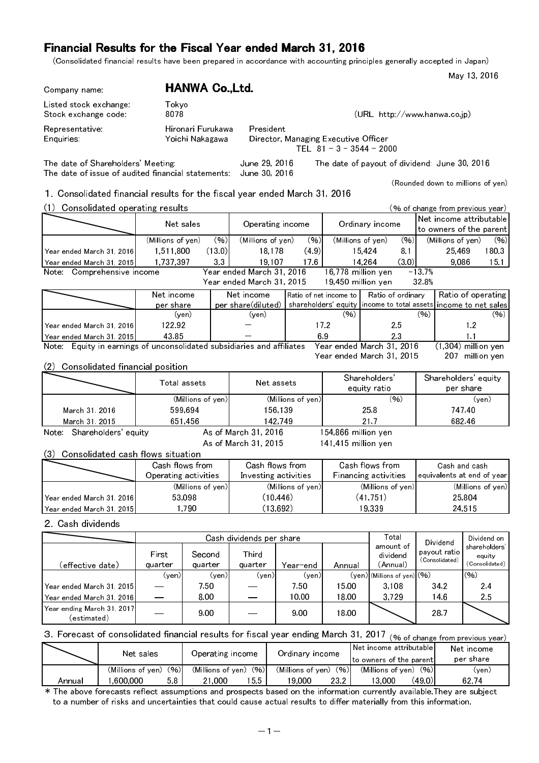(Consolidated financial results have been prepared in accordance with accounting principles generally accepted in Japan)

May 13, 2016

| Company name:                                                                                                    |                                |                                   | <b>HANWA Co., Ltd.</b>               |            |                                              |                                 |     |                                                     |                                  |                    |                                               |                |                              |
|------------------------------------------------------------------------------------------------------------------|--------------------------------|-----------------------------------|--------------------------------------|------------|----------------------------------------------|---------------------------------|-----|-----------------------------------------------------|----------------------------------|--------------------|-----------------------------------------------|----------------|------------------------------|
| Listed stock exchange:<br>Stock exchange code:                                                                   |                                | Tokyo<br>8078                     |                                      |            |                                              |                                 |     |                                                     |                                  |                    | (URL http://www.hanwa.co.jp)                  |                |                              |
| Representative:<br>Enquiries:                                                                                    |                                |                                   | Hironari Furukawa<br>Yoichi Nakagawa |            | President                                    |                                 |     | Director, Managing Executive Officer                |                                  |                    |                                               |                |                              |
|                                                                                                                  |                                |                                   |                                      |            |                                              |                                 |     | TEL $81 - 3 - 3544 - 2000$                          |                                  |                    |                                               |                |                              |
| The date of Shareholders' Meeting.<br>The date of issue of audited financial statements:                         |                                |                                   |                                      |            | June 29, 2016<br>June 30, 2016               |                                 |     |                                                     |                                  |                    | The date of payout of dividend: June 30, 2016 |                |                              |
|                                                                                                                  |                                |                                   |                                      |            |                                              |                                 |     |                                                     |                                  |                    | (Rounded down to millions of yen)             |                |                              |
| 1. Consolidated financial results for the fiscal year ended March 31, 2016<br>(1) Consolidated operating results |                                |                                   |                                      |            |                                              |                                 |     |                                                     |                                  |                    | (% of change from previous year)              |                |                              |
|                                                                                                                  |                                |                                   |                                      |            |                                              |                                 |     |                                                     |                                  |                    | Net income attributable                       |                |                              |
|                                                                                                                  |                                | Net sales                         |                                      |            | Operating income                             |                                 |     |                                                     | Ordinary income                  |                    | to owners of the parent                       |                |                              |
|                                                                                                                  |                                | (Millions of yen)                 |                                      | (96)       | (Millions of yen)                            | (96)                            |     | (Millions of yen)                                   |                                  | (96)               | (Millions of yen)                             |                | (96)                         |
| Year ended March 31, 2016                                                                                        |                                | 1,511,800                         |                                      | (13.0)     | 18,178                                       | (4.9)                           |     |                                                     | 15,424                           | 8.1                | 25,469                                        |                | 1803                         |
| Year ended March 31, 2015<br>Note: Comprehensive income                                                          |                                | 1,737,397                         |                                      | 33         | 19,107<br>Year ended March 31, 2016          | 176                             |     | 16,778 million yen                                  | 14,264                           | (3.0)              | 9,086<br>$-13.7%$                             |                | 15.1                         |
|                                                                                                                  |                                |                                   |                                      |            | Year ended March 31, 2015                    |                                 |     | 19,450 million yen                                  |                                  |                    | 32.8%                                         |                |                              |
|                                                                                                                  |                                | Net income                        |                                      |            | Net income                                   |                                 |     | Ratio of net income to                              |                                  | Ratio of ordinary  |                                               |                | Ratio of operating           |
|                                                                                                                  |                                | per share                         |                                      |            | per share(diluted)                           |                                 |     | shareholders' equity income to total assets<br>(96) |                                  |                    | income to net sales<br>(96)                   |                |                              |
| Year ended March 31, 2016                                                                                        |                                | 122.92                            | (yen)                                |            | (yen)                                        |                                 | 172 |                                                     |                                  | 2.5                |                                               | 1.2            | (96)                         |
| Year ended March 31, 2015                                                                                        |                                | 43.85                             |                                      |            |                                              |                                 | 69  |                                                     |                                  | 2.3                | 1.1                                           |                |                              |
| Note: Equity in earnings of unconsolidated subsidiaries and affiliates                                           |                                |                                   |                                      |            |                                              |                                 |     | Year ended March 31, 2016                           |                                  |                    | $(1,304)$ million yen                         |                |                              |
|                                                                                                                  |                                |                                   |                                      |            |                                              |                                 |     | Year ended March 31, 2015                           |                                  |                    |                                               |                | 207 million yen              |
| (2)                                                                                                              |                                | Consolidated financial position   |                                      |            |                                              |                                 |     |                                                     | Shareholders'                    |                    | Shareholders' equity                          |                |                              |
| Total assets                                                                                                     |                                |                                   |                                      | Net assets |                                              |                                 |     | equity ratio                                        |                                  |                    | per share                                     |                |                              |
|                                                                                                                  |                                |                                   | (Millions of yen)                    |            | (Millions of yen)                            |                                 |     |                                                     |                                  | (96)               | (yen)                                         |                |                              |
| March 31, 2016                                                                                                   |                                |                                   | 599,694                              |            | 156,139                                      |                                 |     |                                                     | 258                              |                    | 747.40                                        |                |                              |
| March 31, 2015                                                                                                   |                                |                                   | 651,456                              |            | 142,749                                      |                                 |     |                                                     | 21.7                             |                    |                                               | 682.46         |                              |
| Note: Shareholders' equity                                                                                       |                                |                                   |                                      |            | As of March 31, 2016<br>As of March 31, 2015 |                                 |     | 154,866 million yen<br>141,415 million yen          |                                  |                    |                                               |                |                              |
| (3)                                                                                                              |                                | Consolidated cash flows situation |                                      |            |                                              |                                 |     |                                                     |                                  |                    |                                               |                |                              |
|                                                                                                                  |                                | Cash flows from                   |                                      |            | Cash flows from                              |                                 |     |                                                     | Cash flows from                  |                    | Cash and cash                                 |                |                              |
|                                                                                                                  |                                | Operating activities              |                                      |            | Investing activities                         |                                 |     | Financing activities                                |                                  |                    | equivalents at end of year                    |                |                              |
|                                                                                                                  |                                |                                   | (Millions of yen)                    |            |                                              | (Millions of yen)               |     |                                                     | (Millions of yen)                |                    |                                               |                | (Millions of yen)            |
| Year ended March 31, 2016                                                                                        |                                |                                   | 53,098                               |            | (10, 446)<br>(13, 692)                       |                                 |     |                                                     | (41, 751)                        |                    | 25,804                                        |                |                              |
| Year ended March 31, 2015                                                                                        |                                |                                   | 1,790                                |            |                                              |                                 |     |                                                     | 19,339                           |                    |                                               | 24,515         |                              |
| 2 Cash dividends                                                                                                 |                                |                                   |                                      |            |                                              |                                 |     |                                                     |                                  |                    |                                               |                |                              |
|                                                                                                                  |                                |                                   |                                      |            | Cash dividends per share                     |                                 |     |                                                     |                                  | Total<br>amount of | Dividend                                      |                | Dividend on<br>shareholders' |
|                                                                                                                  |                                | First                             | Second                               |            | Third                                        |                                 |     |                                                     |                                  | dividend           | payout ratio<br>(Consolidated)                |                | equity                       |
| (effective date)                                                                                                 |                                | quarter                           | quarter                              |            | quarter                                      | Year-end                        |     | Annual                                              |                                  | (Annual)           |                                               |                | (Consolidated)               |
| Year ended March 31, 2015                                                                                        |                                | (yen)                             | 7.50                                 | (yen)      | (yen)                                        | (yen)<br>7.50                   |     | 15.00                                               | $(yen)$ (Millions of yen) $(96)$ | 3,108              | 34.2                                          | (96)           | 2.4                          |
| Year ended March 31, 2016                                                                                        |                                |                                   | 8.00                                 |            |                                              | 10.00                           |     | 18.00                                               |                                  | 3,729              | 14.6                                          |                | 2.5                          |
| Year ending March 31, 2017                                                                                       |                                |                                   |                                      |            |                                              |                                 |     |                                                     |                                  |                    |                                               |                |                              |
| (estimated)                                                                                                      |                                |                                   | 9.00                                 |            |                                              | 9.00                            |     | 18.00                                               |                                  |                    | 28.7                                          |                |                              |
| 3. Forecast of consolidated financial results for fiscal year ending March 31, 2017                              |                                |                                   |                                      |            |                                              |                                 |     |                                                     |                                  |                    | (% of change from previous year)              |                |                              |
|                                                                                                                  |                                | Net sales                         |                                      |            | Operating income                             | Ordinary income                 |     |                                                     | Net income attributable          |                    |                                               | Net income     |                              |
|                                                                                                                  |                                |                                   |                                      |            |                                              |                                 |     |                                                     | to owners of the parent          |                    |                                               | per share      |                              |
| Annual                                                                                                           | (Millions of yen)<br>1,600,000 | (96)<br>58                        |                                      | 21,000     | (Millions of yen) (%)<br>15.5                | (Millions of yen) (%)<br>19,000 |     | 23.2                                                | (Millions of yen) (%)<br>13,000  |                    | (49.0)                                        | (yen)<br>62 74 |                              |
|                                                                                                                  |                                |                                   |                                      |            |                                              |                                 |     |                                                     |                                  |                    |                                               |                |                              |

\* The above forecasts reflect assumptions and prospects based on the information currently available.They are subject to a number of risks and uncertainties that could cause actual results to differ materially from this information.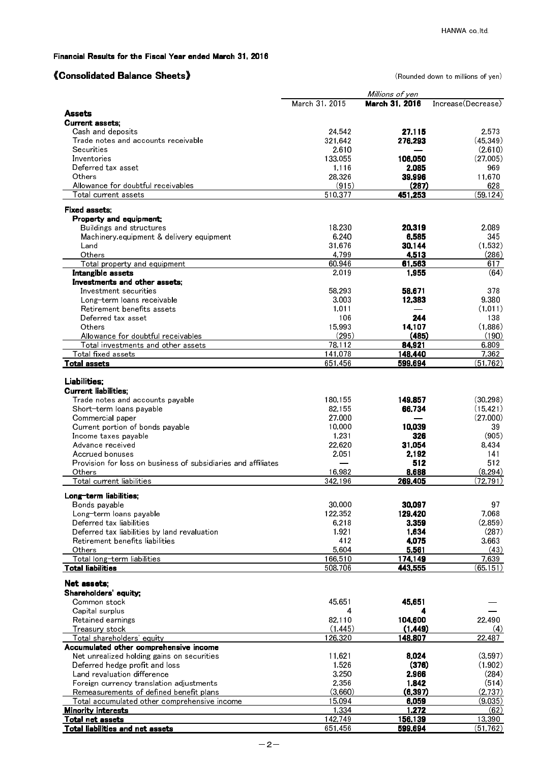## 《Consolidated Balance Sheets》 (Rounded down to millions of yen)

|                                                                                 |                 | Millions of yen |                    |
|---------------------------------------------------------------------------------|-----------------|-----------------|--------------------|
|                                                                                 | March 31, 2015  | March 31, 2016  | Increase(Decrease) |
| Assets                                                                          |                 |                 |                    |
| <b>Current assets:</b><br>Cash and deposits                                     | 24,542          | 27,115          | 2,573              |
| Trade notes and accounts receivable                                             | 321,642         | 276,293         | (45, 349)          |
| Securities                                                                      | 2,610           |                 | (2,610)            |
| Inventories                                                                     | 133,055         | 106,050         | (27,005)           |
| Deferred tax asset                                                              | 1,116           | 2,085           | 969                |
| Others                                                                          | 28,326          | 39,996          | 11,670             |
| Allowance for doubtful receivables                                              | (915)           | (287)           | 628                |
| Total current assets                                                            | 510,377         | 451,253         | (59, 124)          |
| Fixed assets:                                                                   |                 |                 |                    |
| Property and equipment;                                                         |                 |                 |                    |
| Buildings and structures<br>Machinery, equipment & delivery equipment           | 18.230<br>6,240 | 20,319<br>6,585 | 2.089<br>345       |
| Land                                                                            | 31,676          | 30,144          | (1,532)            |
| Others                                                                          | 4.799           | 4,513           | (286)              |
| Total property and equipment                                                    | 60,946          | 61,563          | 617                |
| Intangible assets                                                               | 2.019           | 1,955           | (64)               |
| Investments and other assets.                                                   |                 |                 |                    |
| Investment securities                                                           | 58.293          | 58,671          | 378                |
| Long-term loans receivable                                                      | 3,003           | 12,383          | 9,380              |
| Retirement benefits assets                                                      | 1,011           |                 | (1,011)            |
| Deferred tax asset<br>Others                                                    | 106<br>15,993   | 244<br>14,107   | 138<br>(1,886)     |
| Allowance for doubtful receivables                                              | (295)           | (485)           | (190)              |
| Total investments and other assets                                              | 78.112          | 84,921          | 6,809              |
| Total fixed assets                                                              | 141,078         | 148,440         | 7,362              |
| <b>Total assets</b>                                                             | 651,456         | 599,694         | (51, 762)          |
|                                                                                 |                 |                 |                    |
| Liabilities;                                                                    |                 |                 |                    |
| <b>Current liabilities:</b><br>Trade notes and accounts payable                 | 180,155         | 149,857         | (30, 298)          |
| Short-term loans payable                                                        | 82,155          | 66,734          | (15, 421)          |
| Commercial paper                                                                | 27,000          |                 | (27,000)           |
| Current portion of bonds payable                                                | 10,000          | 10,039          | 39                 |
| Income taxes payable                                                            | 1,231           | 326             | (905)              |
| Advance received                                                                | 22,620          | 31,054          | 8,434              |
| Accrued bonuses                                                                 | 2,051           | 2,192           | 141                |
| Provision for loss on business of subsidiaries and affiliates                   |                 | 512             | 512                |
| <b>Others</b>                                                                   | 16.982          | 8,688           | (8, 294)           |
| Total current liabilities                                                       | 342.196         | 269,405         | (72, 791)          |
| Long-term liabilities;                                                          |                 |                 |                    |
| Bonds payable                                                                   | 30,000          | 30,097          | 97                 |
| Long-term loans payable                                                         | 122,352         | 129,420         | 7,068              |
| Deferred tax liabilities                                                        | 6,218           | 3,359           | (2,859)<br>(287)   |
| Deferred tax liabilities by land revaluation<br>Retirement benefits liabilities | 1,921<br>412    | 1,634<br>4,075  | 3,663              |
| Others                                                                          | 5,604           | 5,561           | (43)               |
| Total long-term liabilities                                                     | 166,510         | 174,149         | 7,639              |
| <b>Total liabilities</b>                                                        | 508,706         | 443,555         | (65, 151)          |
| Net assets;                                                                     |                 |                 |                    |
| Shareholders' equity                                                            |                 |                 |                    |
| Common stock                                                                    | 45,651          | 45,651          |                    |
| Capital surplus                                                                 | 4               | 4               |                    |
| Retained earnings                                                               | 82,110          | 104,600         | 22,490             |
| Treasury stock                                                                  | (1, 445)        | (1, 449)        | (4)                |
| Total shareholders' equity                                                      | 126,320         | 148,807         | 22,487             |
| Accumulated other comprehensive income                                          |                 |                 |                    |
| Net unrealized holding gains on securities                                      | 11,621          | 8,024           | (3,597)            |
| Deferred hedge profit and loss<br>Land revaluation difference                   | 1,526<br>3,250  | (376)<br>2,966  | (1,902)<br>(284)   |
| Foreign currency translation adjustments                                        | 2,356           | 1,842           | (514)              |
| Remeasurements of defined benefit plans                                         | (3,660)         | (6, 397)        | (2, 737)           |
| Total accumulated other comprehensive income                                    | 15,094          | 6,059           | (9,035)            |
| <b>Minority interests</b>                                                       | 1,334           | 1,272           | (62)               |
| Total net assets                                                                | 142,749         | 156,139         | 13,390             |
| Total liabilities and net assets                                                | 651.456         | 599.694         | (51.762)           |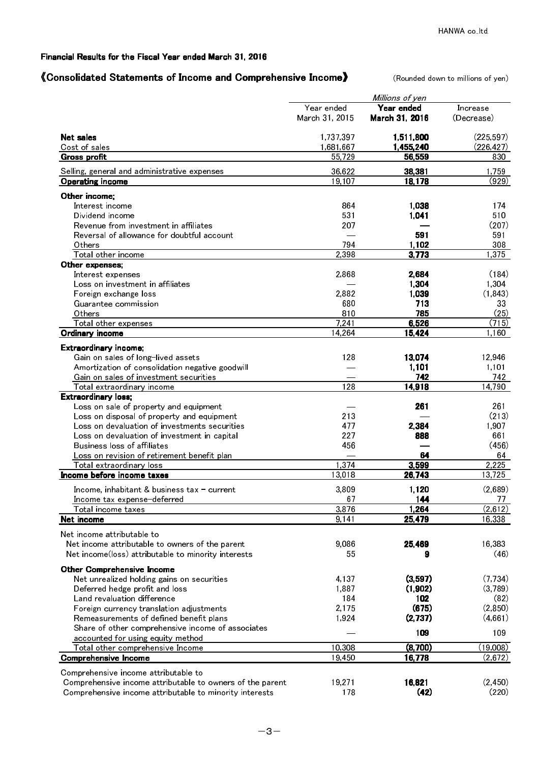## 《Consolidated Statements of Income and Comprehensive Income》 (Rounded down to millions of yen)

|                                                             |                | Millions of yen |            |
|-------------------------------------------------------------|----------------|-----------------|------------|
|                                                             | Year ended     | Year ended      | Increase   |
|                                                             | March 31, 2015 | March 31, 2016  | (Decrease) |
| <b>Net sales</b>                                            | 1,737,397      | 1,511,800       | (225, 597) |
| Cost of sales                                               | 1,681,667      | 1,455,240       | (226, 427) |
| <b>Gross profit</b>                                         | 55,729         | 56,559          | 830        |
| Selling, general and administrative expenses                | 36.622         | 38,381          | 1,759      |
| <b>Operating income</b>                                     | 19,107         | 18,178          | (929)      |
| Other income:                                               |                |                 |            |
| Interest income                                             | 864            | 1,038           | 174        |
| Dividend income                                             | 531            | 1,041           | 510        |
| Revenue from investment in affiliates                       | 207            |                 | (207)      |
| Reversal of allowance for doubtful account                  |                | 591             | 591        |
| Others                                                      | 794            | 1,102           | 308        |
| Total other income                                          | 2,398          | 3,773           | 1,375      |
| Other expenses;                                             |                |                 | (184)      |
| Interest expenses<br>Loss on investment in affiliates       | 2,868          | 2,684<br>1,304  | 1,304      |
| Foreign exchange loss                                       | 2,882          | 1,039           | (1, 843)   |
| Guarantee commission                                        | 680            | 713             | 33         |
| Others                                                      | 810            | 785             | (25)       |
| Total other expenses                                        | 7.241          | 6,526           | (715)      |
| Ordinary income                                             | 14,264         | 15,424          | 1.160      |
|                                                             |                |                 |            |
| Extraordinary income;<br>Gain on sales of long-lived assets | 128            | 13,074          | 12,946     |
| Amortization of consolidation negative goodwill             |                | 1,101           | 1,101      |
| Gain on sales of investment securities                      |                | 742             | 742        |
| Total extraordinary income                                  | 128            | 14,918          | 14,790     |
| <b>Extraordinary loss;</b>                                  |                |                 |            |
| Loss on sale of property and equipment                      |                | 261             | 261        |
| Loss on disposal of property and equipment                  | 213            |                 | (213)      |
| Loss on devaluation of investments securities               | 477            | 2,384           | 1,907      |
| Loss on devaluation of investment in capital                | 227            | 888             | 661        |
| Business loss of affiliates                                 | 456            |                 | (456)      |
| Loss on revision of retirement benefit plan                 |                | 64              | 64         |
| Total extraordinary loss                                    | 1.374          | 3,599           | 2,225      |
| Income before income taxes                                  | 13,018         | 26,743          | 13,725     |
| Income, inhabitant & business tax - current                 | 3,809          | 1,120           | (2,689)    |
| Income tax expense-deferred                                 | 67             | <b>144</b>      | <u>77</u>  |
| Total income taxes                                          | 3,876          | 1,264           | (2,612)    |
| <u>Net income</u>                                           | 9,141          | 25,479          | 16,338     |
| Net income attributable to                                  |                |                 |            |
| Net income attributable to owners of the parent             | 9,086          | 25,469          | 16,383     |
| Net income(loss) attributable to minority interests         | 55             | 9               | (46)       |
| <b>Other Comprehensive Income</b>                           |                |                 |            |
| Net unrealized holding gains on securities                  | 4,137          | (3,597)         | (7, 734)   |
| Deferred hedge profit and loss                              | 1,887          | (1,902)         | (3,789)    |
| Land revaluation difference                                 | 184            | 102             | (82)       |
| Foreign currency translation adjustments                    | 2,175          | (675)           | (2,850)    |
| Remeasurements of defined benefit plans                     | 1,924          | (2,737)         | (4,661)    |
| Share of other comprehensive income of associates           |                | 109             | 109        |
| accounted for using equity method                           |                |                 |            |
| Total other comprehensive Income                            | 10,308         | (8,700)         | (19,008)   |
| <b>Comprehensive Income</b>                                 | 19,450         | 16,778          | (2,672)    |
| Comprehensive income attributable to                        |                |                 |            |
| Comprehensive income attributable to owners of the parent   | 19,271         | 16,821          | (2, 450)   |
| Comprehensive income attributable to minority interests     | 178            | (42)            | (220)      |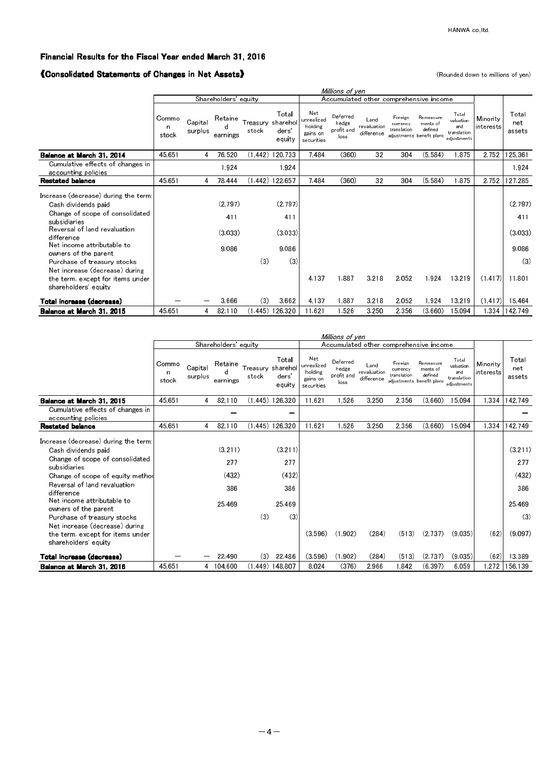### 《Consolidated Statements of Changes in Net Assets》 (Rounded down to millions of yen)

|                                                                                                                                                                                                                                                                                                                                                 | Millions of yen     |                    |                                    |                   |                                                  |                                                        |                                         |                                   |                                    |                                                               |                                                         |                       |                                                     |
|-------------------------------------------------------------------------------------------------------------------------------------------------------------------------------------------------------------------------------------------------------------------------------------------------------------------------------------------------|---------------------|--------------------|------------------------------------|-------------------|--------------------------------------------------|--------------------------------------------------------|-----------------------------------------|-----------------------------------|------------------------------------|---------------------------------------------------------------|---------------------------------------------------------|-----------------------|-----------------------------------------------------|
|                                                                                                                                                                                                                                                                                                                                                 |                     |                    | Shareholders' equity               |                   |                                                  | Accumulated other comprehensive income                 |                                         |                                   |                                    |                                                               |                                                         |                       |                                                     |
|                                                                                                                                                                                                                                                                                                                                                 | Commo<br>n<br>stock | Capital<br>surplus | Retaine<br>earnings                | Treasury<br>stock | Total<br>sharehol<br>ders <sup>'</sup><br>equity | Net<br>unrealized<br>holding<br>gains on<br>securities | Deferred<br>hedge<br>profit and<br>loss | Land<br>revaluation<br>difference | Foreign<br>currency<br>translation | Remeasure<br>ments of<br>defined<br>adjustments benefit plans | Total<br>valuation<br>and<br>translation<br>adiustments | Minority<br>interests | Total<br>net<br>assets                              |
| Balance at March 31, 2014                                                                                                                                                                                                                                                                                                                       | 45.651              | 4                  | 76.520                             |                   | $(1.442)$ 120.733                                | 7.484                                                  | (360)                                   | 32                                | 304                                | (5.584)                                                       | .875                                                    | 2.752                 | 125.361                                             |
| Cumulative effects of changes in<br>accounting policies                                                                                                                                                                                                                                                                                         |                     |                    | 1.924                              |                   | 1.924                                            |                                                        |                                         |                                   |                                    |                                                               |                                                         |                       | 1.924                                               |
| <b>Restated balance</b>                                                                                                                                                                                                                                                                                                                         | 45.651              | 4                  | 78,444                             |                   | $(1.442)$ 122.657                                | 7484                                                   | (360)                                   | 32                                | 304                                | (5, 584)                                                      | .875                                                    | 2.752                 | 127,285                                             |
| Increase (decrease) during the term:<br>Cash dividends paid<br>Change of scope of consolidated<br>subsidiaries<br>Reversal of land revaluation<br>difference<br>Net income attributable to<br>owners of the parent<br>Purchase of treasury stocks<br>Net increase (decrease) during<br>the term, except for items under<br>shareholders' equity |                     |                    | (2.797)<br>411<br>(3.033)<br>9.086 | (3)               | (2.797)<br>411<br>(3.033)<br>9.086<br>(3)        | 4.137                                                  | 1.887                                   | 3.218                             | 2.052                              | 1.924                                                         | 13.219                                                  | (1.417)               | (2.797)<br>411<br>(3.033)<br>9.086<br>(3)<br>11.801 |
| Total increase (decrease)                                                                                                                                                                                                                                                                                                                       |                     |                    | 3.666                              | (3)               | 3.662                                            | 4.137                                                  | 1.887                                   | 3.218                             | 2.052                              | 1.924                                                         | 13.219                                                  | (1.417)               | 15.464                                              |
| Balance at March 31, 2015                                                                                                                                                                                                                                                                                                                       | 45.651              | 4                  | 82,110                             |                   | (1.445) 126.320                                  | 11.621                                                 | 1.526                                   | 3.250                             | 2.356                              | (3.660)                                                       | 15.094                                                  | 1,334                 | 142,749                                             |

|                                                                                                                                                                                                                                                                                                                                                                                   |                     |                    |                                           |                   |                                                  |                                                        | Millions of yen                         |                                   |                                    |                                                               |                                                         |                       |                                                             |
|-----------------------------------------------------------------------------------------------------------------------------------------------------------------------------------------------------------------------------------------------------------------------------------------------------------------------------------------------------------------------------------|---------------------|--------------------|-------------------------------------------|-------------------|--------------------------------------------------|--------------------------------------------------------|-----------------------------------------|-----------------------------------|------------------------------------|---------------------------------------------------------------|---------------------------------------------------------|-----------------------|-------------------------------------------------------------|
|                                                                                                                                                                                                                                                                                                                                                                                   |                     |                    | Shareholders' equity                      |                   |                                                  | Accumulated other comprehensive income                 |                                         |                                   |                                    |                                                               |                                                         |                       |                                                             |
|                                                                                                                                                                                                                                                                                                                                                                                   | Commo<br>n<br>stock | Capital<br>surplus | Retaine<br>d<br>earnings                  | Treasury<br>stock | Total<br>sharehol<br>ders <sup>'</sup><br>equity | Net<br>unrealized<br>holding<br>gains on<br>securities | Deferred<br>hedge<br>profit and<br>loss | Land<br>revaluation<br>difference | Foreign<br>currency<br>translation | Remeasure<br>ments of<br>defined<br>adjustments benefit plans | Total<br>valuation<br>and<br>translation<br>adiustments | Minority<br>interests | Total<br>net<br>assets                                      |
| Balance at March 31, 2015                                                                                                                                                                                                                                                                                                                                                         | 45.651              | 4                  | 82.110                                    |                   | $(1.445)$ 126.320                                | 11.621                                                 | 1.526                                   | 3.250                             | 2.356                              | (3.660)                                                       | 15.094                                                  | 1.334                 | 142 749                                                     |
| Cumulative effects of changes in<br>accounting policies                                                                                                                                                                                                                                                                                                                           |                     |                    |                                           |                   |                                                  |                                                        |                                         |                                   |                                    |                                                               |                                                         |                       |                                                             |
| Restated balance                                                                                                                                                                                                                                                                                                                                                                  | 45.651              | 4                  | 82.110                                    |                   | $(1.445)$ 126.320                                | 11.621                                                 | 1,526                                   | 3.250                             | 2.356                              | (3.660)                                                       | 15.094                                                  | 1.334                 | 142 749                                                     |
| Increase (decrease) during the term<br>Cash dividends paid<br>Change of scope of consolidated<br>subsidiaries<br>Change of scope of equity method<br>Reversal of land revaluation<br>difference<br>Net income attributable to<br>owners of the parent<br>Purchase of treasury stocks<br>Net increase (decrease) during<br>the term, except for items under<br>shareholders equity |                     |                    | (3.211)<br>277<br>(432)<br>386<br>25 4 69 | (3)               | (3, 211)<br>277<br>(432)<br>386<br>25 469<br>(3) | (3.596)                                                | (1.902)                                 | (284)                             | (513)                              | (2.737)                                                       | (9.035)                                                 | (62)                  | (3.211)<br>277<br>(432)<br>386<br>25 4 69<br>(3)<br>(9.097) |
| Total increase (decrease)                                                                                                                                                                                                                                                                                                                                                         |                     |                    | 22.490                                    | (3)               | 22,486                                           | (3.596)                                                | (1.902)                                 | (284)                             | (513)                              | (2.737)                                                       | (9.035)                                                 | (62)                  | 13.389                                                      |
| Balance at March 31, 2016                                                                                                                                                                                                                                                                                                                                                         | 45.651              | 4                  | 104,600                                   |                   | (1.449) 148.807                                  | 8.024                                                  | (376)                                   | 2.966                             | .842                               | (6.397)                                                       | 6.059                                                   | 272                   | 156.139                                                     |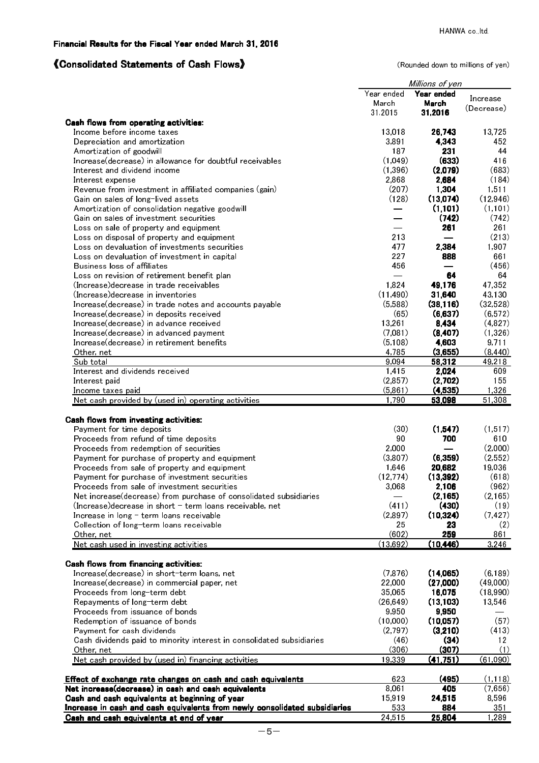# 《Consolidated Statements of Cash Flows》 (Rounded down to millions of yen)

|                                                                                                                                                                                                                                                                                                                                                                                                                                                                                                                                                                                   |                                                                                           | Millions of yen                                                                                    |                                                                                                          |
|-----------------------------------------------------------------------------------------------------------------------------------------------------------------------------------------------------------------------------------------------------------------------------------------------------------------------------------------------------------------------------------------------------------------------------------------------------------------------------------------------------------------------------------------------------------------------------------|-------------------------------------------------------------------------------------------|----------------------------------------------------------------------------------------------------|----------------------------------------------------------------------------------------------------------|
|                                                                                                                                                                                                                                                                                                                                                                                                                                                                                                                                                                                   | Year ended                                                                                | Year ended                                                                                         | Increase                                                                                                 |
|                                                                                                                                                                                                                                                                                                                                                                                                                                                                                                                                                                                   | March                                                                                     | March                                                                                              | (Decrease)                                                                                               |
|                                                                                                                                                                                                                                                                                                                                                                                                                                                                                                                                                                                   | 31,2015                                                                                   | 31.2016                                                                                            |                                                                                                          |
| <b>Cash flows from operating activities:</b><br>Income before income taxes                                                                                                                                                                                                                                                                                                                                                                                                                                                                                                        | 13018                                                                                     | 26,743                                                                                             | 13,725                                                                                                   |
| Depreciation and amortization                                                                                                                                                                                                                                                                                                                                                                                                                                                                                                                                                     | 3,891                                                                                     | 4,343                                                                                              | 452.                                                                                                     |
| Amortization of goodwill                                                                                                                                                                                                                                                                                                                                                                                                                                                                                                                                                          | 187                                                                                       | 231                                                                                                | 44                                                                                                       |
| Increase(decrease) in allowance for doubtful receivables                                                                                                                                                                                                                                                                                                                                                                                                                                                                                                                          | (1,049)                                                                                   | (633)                                                                                              | 416                                                                                                      |
| Interest and dividend income                                                                                                                                                                                                                                                                                                                                                                                                                                                                                                                                                      | (1, 396)                                                                                  | (2,079)                                                                                            | (683)                                                                                                    |
| Interest expense                                                                                                                                                                                                                                                                                                                                                                                                                                                                                                                                                                  | 2,868                                                                                     | 2,684                                                                                              | (184)                                                                                                    |
| Revenue from investment in affiliated companies (gain)                                                                                                                                                                                                                                                                                                                                                                                                                                                                                                                            | (207)                                                                                     | 1,304                                                                                              | 1,511                                                                                                    |
| Gain on sales of long-lived assets                                                                                                                                                                                                                                                                                                                                                                                                                                                                                                                                                | (128)                                                                                     | (13,074)                                                                                           | (12, 946)                                                                                                |
| Amortization of consolidation negative goodwill                                                                                                                                                                                                                                                                                                                                                                                                                                                                                                                                   |                                                                                           | (1, 101)                                                                                           | (1, 101)                                                                                                 |
| Gain on sales of investment securities                                                                                                                                                                                                                                                                                                                                                                                                                                                                                                                                            |                                                                                           | (742)                                                                                              | (742)                                                                                                    |
| Loss on sale of property and equipment                                                                                                                                                                                                                                                                                                                                                                                                                                                                                                                                            |                                                                                           | 261                                                                                                | 261                                                                                                      |
| Loss on disposal of property and equipment                                                                                                                                                                                                                                                                                                                                                                                                                                                                                                                                        | 213                                                                                       |                                                                                                    | (213)                                                                                                    |
| Loss on devaluation of investments securities                                                                                                                                                                                                                                                                                                                                                                                                                                                                                                                                     | 477                                                                                       | 2,384                                                                                              | 1,907                                                                                                    |
| Loss on devaluation of investment in capital                                                                                                                                                                                                                                                                                                                                                                                                                                                                                                                                      | 227                                                                                       | 888                                                                                                | 661                                                                                                      |
| Business loss of affiliates<br>Loss on revision of retirement benefit plan                                                                                                                                                                                                                                                                                                                                                                                                                                                                                                        | 456                                                                                       | 64                                                                                                 | (456)<br>64                                                                                              |
| (Increase) decrease in trade receivables                                                                                                                                                                                                                                                                                                                                                                                                                                                                                                                                          | 1,824                                                                                     | 49,176                                                                                             | 47,352                                                                                                   |
| (Increase) decrease in inventories                                                                                                                                                                                                                                                                                                                                                                                                                                                                                                                                                | (11, 490)                                                                                 | 31,640                                                                                             | 43,130                                                                                                   |
| Increase(decrease) in trade notes and accounts payable                                                                                                                                                                                                                                                                                                                                                                                                                                                                                                                            | (5,588)                                                                                   | (38, 116)                                                                                          | (32,528)                                                                                                 |
| Increase(decrease) in deposits received                                                                                                                                                                                                                                                                                                                                                                                                                                                                                                                                           | (65)                                                                                      | (6,637)                                                                                            | (6, 572)                                                                                                 |
| Increase(decrease) in advance received                                                                                                                                                                                                                                                                                                                                                                                                                                                                                                                                            | 13,261                                                                                    | 8,434                                                                                              | (4, 827)                                                                                                 |
| Increase(decrease) in advanced payment                                                                                                                                                                                                                                                                                                                                                                                                                                                                                                                                            | (7,081)                                                                                   | (8, 407)                                                                                           | (1,326)                                                                                                  |
| Increase(decrease) in retirement benefits                                                                                                                                                                                                                                                                                                                                                                                                                                                                                                                                         | (5, 108)                                                                                  | 4,603                                                                                              | 9,711                                                                                                    |
| Other, net                                                                                                                                                                                                                                                                                                                                                                                                                                                                                                                                                                        | 4,785                                                                                     | (3,655)                                                                                            | (8, 440)                                                                                                 |
| Sub total                                                                                                                                                                                                                                                                                                                                                                                                                                                                                                                                                                         | 9,094                                                                                     | 58,312                                                                                             | 49,218                                                                                                   |
| Interest and dividends received                                                                                                                                                                                                                                                                                                                                                                                                                                                                                                                                                   | 1,415                                                                                     | 2,024                                                                                              | 609                                                                                                      |
| Interest paid                                                                                                                                                                                                                                                                                                                                                                                                                                                                                                                                                                     | (2, 857)                                                                                  | (2,702)                                                                                            | 155                                                                                                      |
| <u>Income taxes paid</u><br>Net cash provided by (used in) operating activities                                                                                                                                                                                                                                                                                                                                                                                                                                                                                                   | (5, 861)<br>1,790                                                                         | (4,535)<br>53,098                                                                                  | 1,326<br>51,308                                                                                          |
| Cash flows from investing activities:<br>Payment for time deposits<br>Proceeds from refund of time deposits<br>Proceeds from redemption of securities<br>Payment for purchase of property and equipment<br>Proceeds from sale of property and equipment<br>Payment for purchase of investment securities<br>Proceeds from sale of investment securities<br>Net increase(decrease) from purchase of consolidated subsidiaries<br>(Increase) decrease in short - term loans receivable, net<br>Increase in long - term loans receivable<br>Collection of long-term loans receivable | (30)<br>90<br>2,000<br>(3, 807)<br>1,646<br>(12, 774)<br>3,068<br>(411)<br>(2, 897)<br>25 | (1, 547)<br>700<br>(6,359)<br>20,682<br>(13, 392)<br>2,106<br>(2, 165)<br>(430)<br>(10, 324)<br>23 | (1, 517)<br>610<br>(2,000)<br>(2,552)<br>19,036<br>(618)<br>(962)<br>(2, 165)<br>(19)<br>(7, 427)<br>(2) |
| Other, net                                                                                                                                                                                                                                                                                                                                                                                                                                                                                                                                                                        | (602)                                                                                     | 259                                                                                                | 861                                                                                                      |
| Net cash used in investing activities                                                                                                                                                                                                                                                                                                                                                                                                                                                                                                                                             | (13, 692)                                                                                 | (10, 446)                                                                                          | 3,246                                                                                                    |
|                                                                                                                                                                                                                                                                                                                                                                                                                                                                                                                                                                                   |                                                                                           |                                                                                                    |                                                                                                          |
| <b>Cash flows from financing activities:</b>                                                                                                                                                                                                                                                                                                                                                                                                                                                                                                                                      |                                                                                           |                                                                                                    |                                                                                                          |
| Increase(decrease) in short-term loans, net                                                                                                                                                                                                                                                                                                                                                                                                                                                                                                                                       | (7, 876)                                                                                  | (14,065)                                                                                           | (6, 189)                                                                                                 |
| Increase(decrease) in commercial paper, net                                                                                                                                                                                                                                                                                                                                                                                                                                                                                                                                       | 22,000                                                                                    | (27,000)                                                                                           | (49,000)                                                                                                 |
| Proceeds from long-term debt                                                                                                                                                                                                                                                                                                                                                                                                                                                                                                                                                      | 35,065<br>(26, 649)                                                                       | 16,075                                                                                             | (18, 990)                                                                                                |
| Repayments of long-term debt<br>Proceeds from issuance of bonds                                                                                                                                                                                                                                                                                                                                                                                                                                                                                                                   | 9,950                                                                                     | (13, 103)<br>9,950                                                                                 | 13,546                                                                                                   |
| Redemption of issuance of bonds                                                                                                                                                                                                                                                                                                                                                                                                                                                                                                                                                   | (10,000)                                                                                  | (10,057)                                                                                           | (57)                                                                                                     |
| Payment for cash dividends                                                                                                                                                                                                                                                                                                                                                                                                                                                                                                                                                        | (2, 797)                                                                                  | (3,210)                                                                                            | (413)                                                                                                    |
| Cash dividends paid to minority interest in consolidated subsidiaries                                                                                                                                                                                                                                                                                                                                                                                                                                                                                                             | (46)                                                                                      | (34)                                                                                               | 12 <sub>2</sub>                                                                                          |
| Other, net                                                                                                                                                                                                                                                                                                                                                                                                                                                                                                                                                                        | (306)                                                                                     | (307)                                                                                              | (1)                                                                                                      |
| Net cash provided by (used in) financing activities                                                                                                                                                                                                                                                                                                                                                                                                                                                                                                                               | 19,339                                                                                    | (41, 751)                                                                                          | (61,090)                                                                                                 |
|                                                                                                                                                                                                                                                                                                                                                                                                                                                                                                                                                                                   |                                                                                           |                                                                                                    |                                                                                                          |
| Effect of exchange rate changes on cash and cash equivalents                                                                                                                                                                                                                                                                                                                                                                                                                                                                                                                      | 623                                                                                       | (495)                                                                                              | (1, 118)                                                                                                 |
| Net increase(decrease) in cash and cash equivalents                                                                                                                                                                                                                                                                                                                                                                                                                                                                                                                               | 8,061                                                                                     | 405                                                                                                | (7,656)                                                                                                  |
| Cash and cash equivalents at beginning of year                                                                                                                                                                                                                                                                                                                                                                                                                                                                                                                                    | 15,919                                                                                    | 24,515                                                                                             | 8,596                                                                                                    |
| Increase in cash and cash equivalents from newly consolidated subsidiaries                                                                                                                                                                                                                                                                                                                                                                                                                                                                                                        | 533                                                                                       | 884                                                                                                | 351                                                                                                      |
| Cash and cash equivalents at end of year                                                                                                                                                                                                                                                                                                                                                                                                                                                                                                                                          | 24 5 15                                                                                   | 25.804                                                                                             | 1.289                                                                                                    |